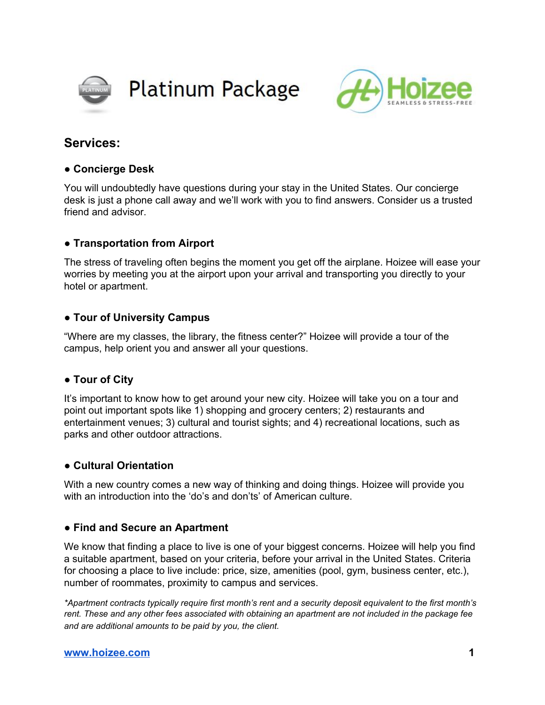



# **Services:**

## **● Concierge Desk**

You will undoubtedly have questions during your stay in the United States. Our concierge desk is just a phone call away and we'll work with you to find answers. Consider us a trusted friend and advisor.

# **● Transportation from Airport**

The stress of traveling often begins the moment you get off the airplane. Hoizee will ease your worries by meeting you at the airport upon your arrival and transporting you directly to your hotel or apartment.

# **● Tour of University Campus**

"Where are my classes, the library, the fitness center?" Hoizee will provide a tour of the campus, help orient you and answer all your questions.

### **● Tour of City**

It's important to know how to get around your new city. Hoizee will take you on a tour and point out important spots like 1) shopping and grocery centers; 2) restaurants and entertainment venues; 3) cultural and tourist sights; and 4) recreational locations, such as parks and other outdoor attractions.

### **● Cultural Orientation**

With a new country comes a new way of thinking and doing things. Hoizee will provide you with an introduction into the 'do's and don'ts' of American culture.

### **● Find and Secure an Apartment**

We know that finding a place to live is one of your biggest concerns. Hoizee will help you find a suitable apartment, based on your criteria, before your arrival in the United States. Criteria for choosing a place to live include: price, size, amenities (pool, gym, business center, etc.), number of roommates, proximity to campus and services.

*\*Apartment contracts typically require first month's rent and a security deposit equivalent to the first month's* rent. These and any other fees associated with obtaining an apartment are not included in the package fee *and are additional amounts to be paid by you, the client.*